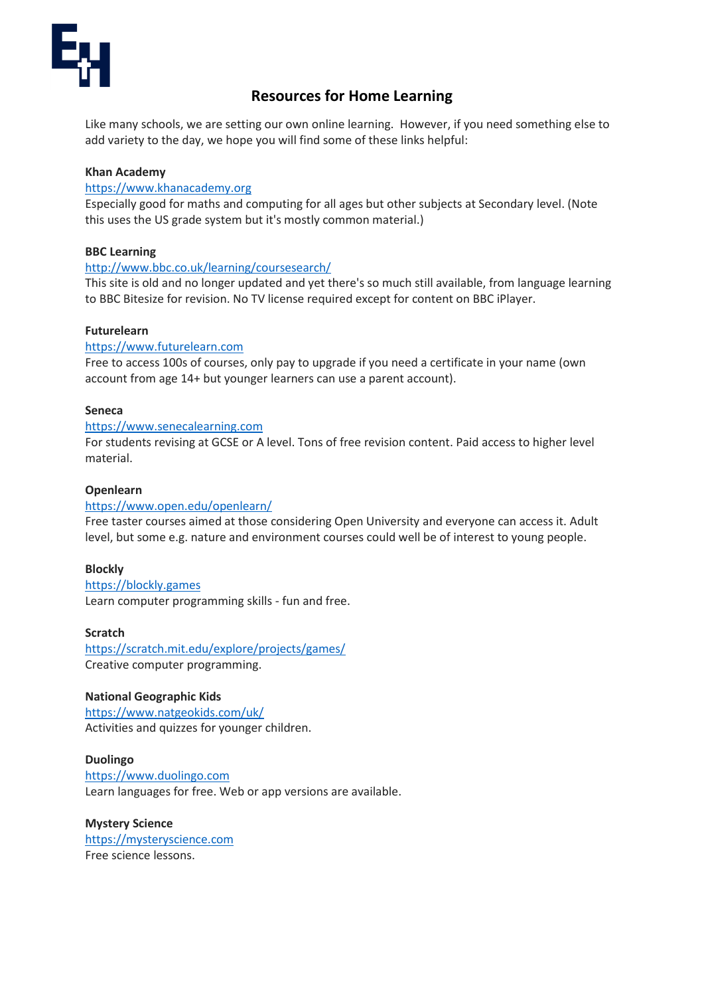

# **Resources for Home Learning**

Like many schools, we are setting our own online learning. However, if you need something else to add variety to the day, we hope you will find some of these links helpful:

# **Khan Academy**

# [https://www.khanacademy.org](https://www.khanacademy.org/)

Especially good for maths and computing for all ages but other subjects at Secondary level. (Note this uses the US grade system but it's mostly common material.)

## **BBC Learning**

## <http://www.bbc.co.uk/learning/coursesearch/>

This site is old and no longer updated and yet there's so much still available, from language learning to BBC Bitesize for revision. No TV license required except for content on BBC iPlayer.

## **Futurelearn**

## [https://www.futurelearn.com](https://www.futurelearn.com/)

Free to access 100s of courses, only pay to upgrade if you need a certificate in your name (own account from age 14+ but younger learners can use a parent account).

## **Seneca**

### [https://www.senecalearning.com](https://www.senecalearning.com/)

For students revising at GCSE or A level. Tons of free revision content. Paid access to higher level material.

## **Openlearn**

# <https://www.open.edu/openlearn/>

Free taster courses aimed at those considering Open University and everyone can access it. Adult level, but some e.g. nature and environment courses could well be of interest to young people.

# **Blockly**

[https://blockly.games](https://blockly.games/) Learn computer programming skills - fun and free.

#### **Scratch**

<https://scratch.mit.edu/explore/projects/games/> Creative computer programming.

#### **National Geographic Kids**

<https://www.natgeokids.com/uk/> Activities and quizzes for younger children.

#### **Duolingo**

[https://www.duolingo.com](https://www.duolingo.com/) Learn languages for free. Web or app versions are available.

# **Mystery Science** [https://mysteryscience.com](https://mysteryscience.com/) Free science lessons.